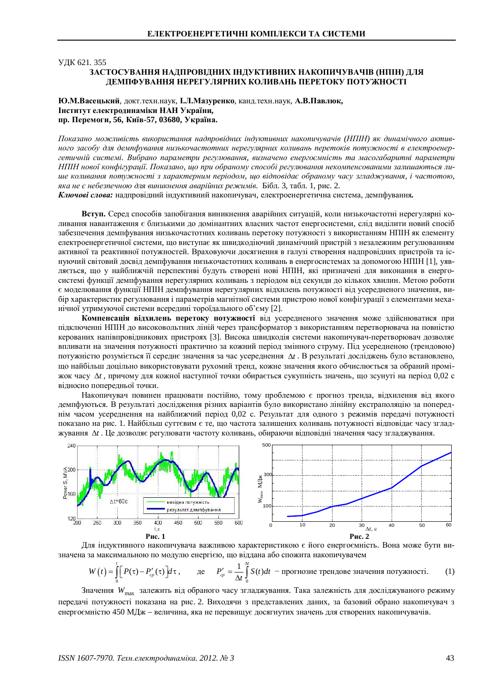# ɍȾɄ 621. 355 ЗАСТОСУВАННЯ НАДПРОВІДНИХ ІНДУКТИВНИХ НАКОПИЧУВАЧІВ (НПІН) ДЛЯ **ЛЕМПФУВАННЯ НЕРЕГУЛЯРНИХ КОЛИВАНЬ ПЕРЕТОКУ ПОТУЖНОСТІ**

# Ю.М.Васецький, докт.техн.наук, І.Л.Мазуренко, канд.техн.наук, А.В.Павлюк,  **Інститут електродинаміки НАН України,**  $\Pi$ **p.** Перемоги, 56, Київ-57, 03680, Україна.

*ɉɨɤɚɡɚɧɨɦɨɠɥɢɜɿɫɬɶ ɜɢɤɨɪɢɫɬɚɧɧɹ ɧɚɞɩɪɨɜɿɞɧɢɯɿɧɞɭɤɬɢɜɧɢɯ ɧɚɤɨɩɢɱɭɜɚɱɿɜ (ɇɉȱɇ) ɹɤ ɞɢɧɚɦɿɱɧɨɝɨ ɚɤɬɢɜ*ного засобу для демпфування низькочастотних нерегулярних коливань перетоків потужності в електроенергетичній системі. Вибрано параметри регулювання, визначено енергоємність та масогабаритні параметри *НПІН нової конфігурації. Показано, що при обраному способі регулювання некомпенсованими залишаються лиɲɟɤɨɥɢɜɚɧɧɹɩɨɬɭɠɧɨɫɬɿɡɯɚɪɚɤɬɟɪɧɢɦɩɟɪɿɨɞɨɦ, ɳɨɜɿɞɩɨɜɿɞɚɽɨɛɪɚɧɨɦɭɱɚɫɭɡɝɥɚɞɠɭɜɚɧɧɹ, ɿɱɚɫɬɨɬɨɸ,* яка не є небезпечною для виникнення аварійних режимів. Бібл. 3, табл. 1, рис. 2.

Ключові слова: надпровідний індуктивний накопичувач, електроенергетична система, демпфування.

**Вступ.** Серед способів запобігання виникнення аварійних ситуацій, коли низькочастотні нерегулярні коливання навантаження є близькими до домінантних власних частот енергосистеми, слід виділити новий спосіб забезпечення демпфування низькочастотних коливань перетоку потужності з використанням НПІН як елементу електроенергетичної системи, що виступає як швидкодіючий динамічний пристрій з незалежним регулюванням активної та реактивної потужностей. Враховуючи досягнення в галузі створення надпровідних пристроїв та існуючий світовий досвід демпфування низькочастотних коливань в енергосистемах за допомогою НПІН [1], уявляється, що у найближчій перспективі будуть створені нові НПІН, які призначені для виконання в енергосистемі функції демпфування нерегулярних коливань з періодом від секунди до кількох хвилин. Метою роботи є моделювання функції НПІН демпфування нерегулярних відхилень потужності від усередненого значення, вибір характеристик регулювання і параметрів магнітної системи пристрою нової конфігурації з елементами механічної утримуючої системи всередині тороїдального об'єму [2].

Компенсація відхилень перетоку потужності від усередненого значення може здійснюватися при підключенні НПІН до високовольтних ліній через трансформатор з використанням перетворювача на повністю керованих напівпровідникових пристроях [3]. Висока швидкодія системи накопичувач-перетворювач дозволяє впливати на значення потужності практично за кожний період змінного струму. Під усередненою (трендовою) потужністю розуміється її середнє значення за час усереднення  $\Delta t$ . В результаті досліджень було встановлено, що найбільш доцільно використовувати рухомий тренд, кожне значення якого обчислюється за обраний промі**жок часу Δt**, причому для кожної наступної точки обирається сукупність значень, що зсунуті на період 0,02 с вілносно поперелньої точки.

Накопичувач повинен працювати постійно, тому проблемою є прогноз тренла, вілхилення віл якого демпфуються. В результаті дослідження різних варіантів було використано лінійну екстраполяцію за попереднім часом усереднення на найближчий період 0,02 с. Результат для одного з режимів передачі потужності показано на рис. 1. Найбільш суттєвим є те, що частота залишених коливань потужності відповідає часу згладжування  $\Delta t$ . Це дозволяє регулювати частоту коливань, обираючи відповідні значення часу згладжування.



Для індуктивного накопичувача важливою характеристикою є його енергоємність. Вона може бути визначена за максимальною по модулю енергією, що віддана або спожита накопичувачем

$$
W(t) = \int_{0}^{t} \left[ P(\tau) - P'_{cp}(\tau) \right] d\tau, \qquad \text{Re} \qquad P'_{cp} = \frac{1}{\Delta t} \int_{0}^{\Delta t} S(t) dt \ - \text{informable the mean normal distribution.}
$$

Значення W<sub>max</sub> залежить від обраного часу згладжування. Така залежність для досліджуваного режиму передачі потужності показана на рис. 2. Виходячи з представлених даних, за базовий обрано накопичувач з енергоємністю 450 МДж – величина, яка не перевищує досягнутих значень для створених накопичувачів.